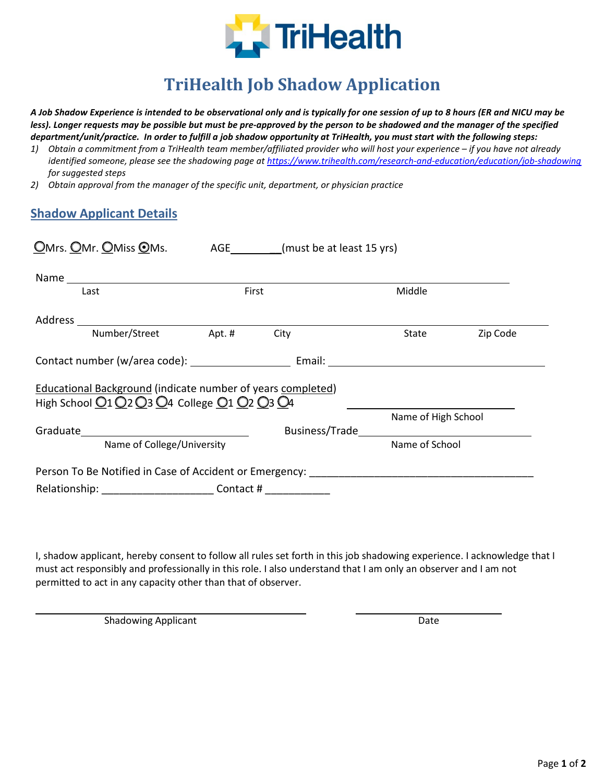

# **TriHealth Job Shadow Application**

*A Job Shadow Experience is intended to be observational only and is typically for one session of up to 8 hours (ER and NICU may be less). Longer requests may be possible but must be pre-approved by the person to be shadowed and the manager of the specified department/unit/practice. In order to fulfill a job shadow opportunity at TriHealth, you must start with the following steps:*

- *1) Obtain a commitment from a TriHealth team member/affiliated provider who will host your experience if you have not already identified someone, please see the shadowing page a[t https://www.trihealth.com/research-and-education/education/job-shadowing](https://www.trihealth.com/research-and-education/education/job-shadowingi) for suggested steps*
- *2) Obtain approval from the manager of the specific unit, department, or physician practice*

### **Shadow Applicant Details**

| OMrs. OMr. OMiss OMs.                                                                                             |                      | AGE __________(must be at least 15 yrs) |                     |                |  |
|-------------------------------------------------------------------------------------------------------------------|----------------------|-----------------------------------------|---------------------|----------------|--|
|                                                                                                                   |                      |                                         |                     |                |  |
| Last                                                                                                              |                      | First                                   | Middle              |                |  |
|                                                                                                                   |                      |                                         |                     |                |  |
|                                                                                                                   | Number/Street Apt. # | City                                    | State               | Zip Code       |  |
|                                                                                                                   |                      |                                         |                     |                |  |
| <b>Educational Background (indicate number of years completed)</b><br>High School 01 02 03 04 College 01 02 03 04 |                      |                                         |                     |                |  |
|                                                                                                                   |                      |                                         | Name of High School |                |  |
| Name of College/University                                                                                        |                      |                                         |                     | Name of School |  |
| Person To Be Notified in Case of Accident or Emergency:                                                           |                      |                                         |                     |                |  |
| Relationship: _________________________________ Contact # ______________________                                  |                      |                                         |                     |                |  |

I, shadow applicant, hereby consent to follow all rules set forth in this job shadowing experience. I acknowledge that I must act responsibly and professionally in this role. I also understand that I am only an observer and I am not permitted to act in any capacity other than that of observer.

Shadowing Applicant Date Date Date Date Date